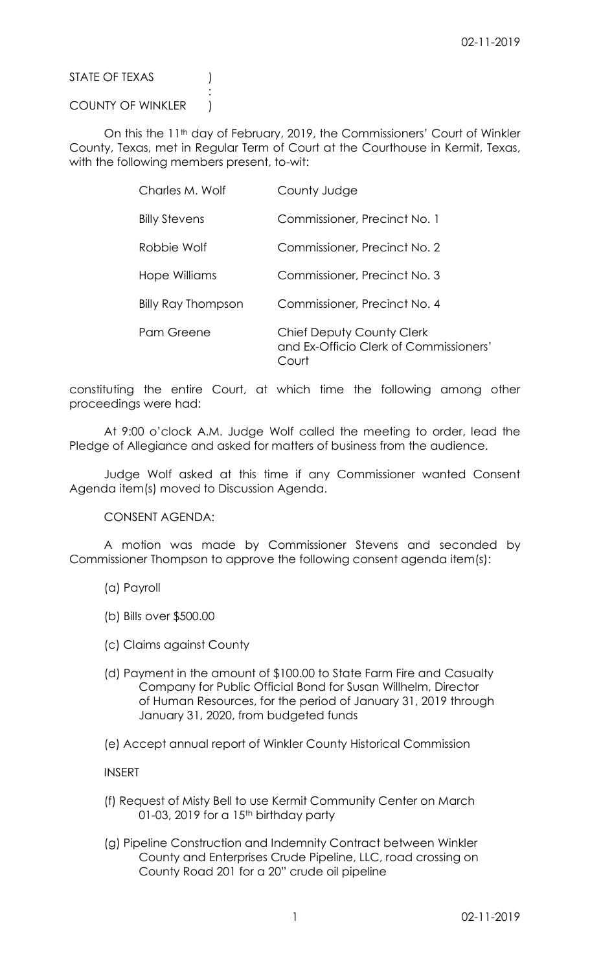STATE OF TEXAS (1)

## COUNTY OF WINKLER )

:

On this the 11<sup>th</sup> day of February, 2019, the Commissioners' Court of Winkler County, Texas, met in Regular Term of Court at the Courthouse in Kermit, Texas, with the following members present, to-wit:

| Charles M. Wolf      | County Judge                                                                 |
|----------------------|------------------------------------------------------------------------------|
| <b>Billy Stevens</b> | Commissioner, Precinct No. 1                                                 |
| Robbie Wolf          | Commissioner, Precinct No. 2                                                 |
| Hope Williams        | Commissioner, Precinct No. 3                                                 |
| Billy Ray Thompson   | Commissioner, Precinct No. 4                                                 |
| Pam Greene           | Chief Deputy County Clerk<br>and Ex-Officio Clerk of Commissioners'<br>Court |

constituting the entire Court, at which time the following among other proceedings were had:

At 9:00 o'clock A.M. Judge Wolf called the meeting to order, lead the Pledge of Allegiance and asked for matters of business from the audience.

Judge Wolf asked at this time if any Commissioner wanted Consent Agenda item(s) moved to Discussion Agenda.

CONSENT AGENDA:

A motion was made by Commissioner Stevens and seconded by Commissioner Thompson to approve the following consent agenda item(s):

- (a) Payroll
- (b) Bills over \$500.00
- (c) Claims against County
- (d) Payment in the amount of \$100.00 to State Farm Fire and Casualty Company for Public Official Bond for Susan Willhelm, Director of Human Resources, for the period of January 31, 2019 through January 31, 2020, from budgeted funds

(e) Accept annual report of Winkler County Historical Commission

INSERT

- (f) Request of Misty Bell to use Kermit Community Center on March 01-03, 2019 for a  $15<sup>th</sup>$  birthday party
- (g) Pipeline Construction and Indemnity Contract between Winkler County and Enterprises Crude Pipeline, LLC, road crossing on County Road 201 for a 20" crude oil pipeline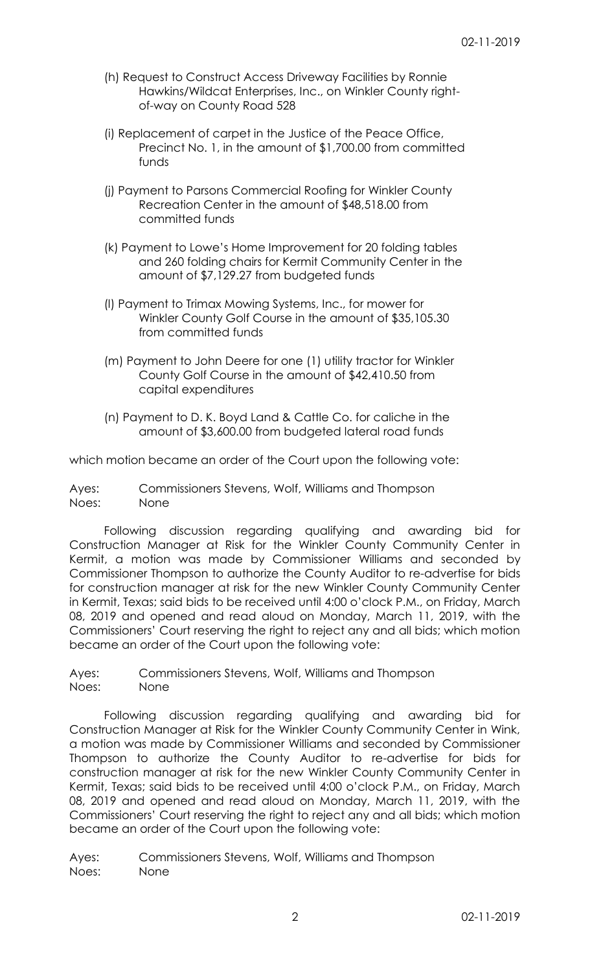- (h) Request to Construct Access Driveway Facilities by Ronnie Hawkins/Wildcat Enterprises, Inc., on Winkler County rightof-way on County Road 528
- (i) Replacement of carpet in the Justice of the Peace Office, Precinct No. 1, in the amount of \$1,700.00 from committed funds
- (j) Payment to Parsons Commercial Roofing for Winkler County Recreation Center in the amount of \$48,518.00 from committed funds
- (k) Payment to Lowe's Home Improvement for 20 folding tables and 260 folding chairs for Kermit Community Center in the amount of \$7,129.27 from budgeted funds
- (l) Payment to Trimax Mowing Systems, Inc., for mower for Winkler County Golf Course in the amount of \$35,105.30 from committed funds
- (m) Payment to John Deere for one (1) utility tractor for Winkler County Golf Course in the amount of \$42,410.50 from capital expenditures
- (n) Payment to D. K. Boyd Land & Cattle Co. for caliche in the amount of \$3,600.00 from budgeted lateral road funds

which motion became an order of the Court upon the following vote:

Ayes: Commissioners Stevens, Wolf, Williams and Thompson Noes: None

Following discussion regarding qualifying and awarding bid for Construction Manager at Risk for the Winkler County Community Center in Kermit, a motion was made by Commissioner Williams and seconded by Commissioner Thompson to authorize the County Auditor to re-advertise for bids for construction manager at risk for the new Winkler County Community Center in Kermit, Texas; said bids to be received until 4:00 o'clock P.M., on Friday, March 08, 2019 and opened and read aloud on Monday, March 11, 2019, with the Commissioners' Court reserving the right to reject any and all bids; which motion became an order of the Court upon the following vote:

Ayes: Commissioners Stevens, Wolf, Williams and Thompson Noes: None

Following discussion regarding qualifying and awarding bid for Construction Manager at Risk for the Winkler County Community Center in Wink, a motion was made by Commissioner Williams and seconded by Commissioner Thompson to authorize the County Auditor to re-advertise for bids for construction manager at risk for the new Winkler County Community Center in Kermit, Texas; said bids to be received until 4:00 o'clock P.M., on Friday, March 08, 2019 and opened and read aloud on Monday, March 11, 2019, with the Commissioners' Court reserving the right to reject any and all bids; which motion became an order of the Court upon the following vote:

Ayes: Commissioners Stevens, Wolf, Williams and Thompson Noes: None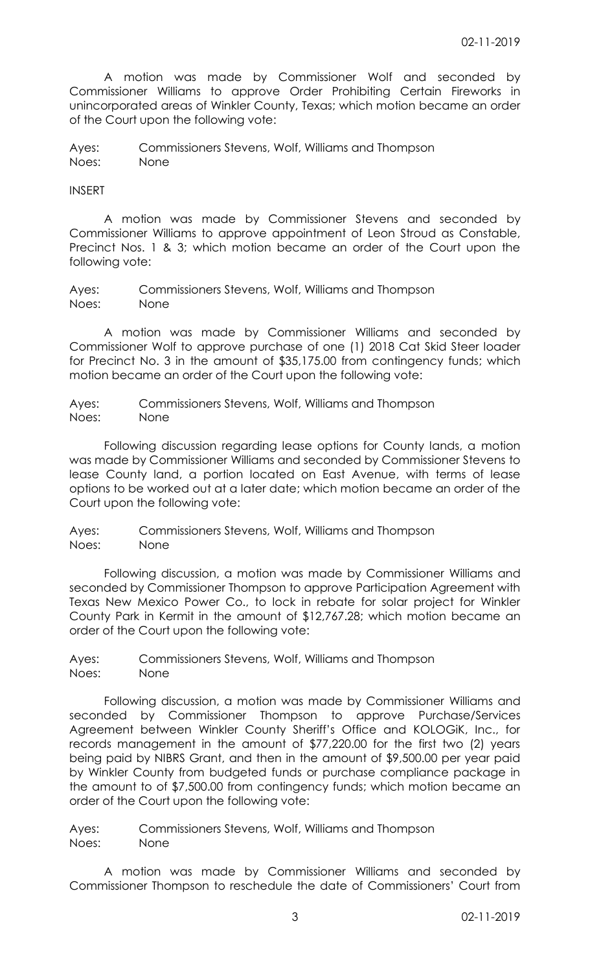A motion was made by Commissioner Wolf and seconded by Commissioner Williams to approve Order Prohibiting Certain Fireworks in unincorporated areas of Winkler County, Texas; which motion became an order of the Court upon the following vote:

Ayes: Commissioners Stevens, Wolf, Williams and Thompson Noes: None

## INSERT

A motion was made by Commissioner Stevens and seconded by Commissioner Williams to approve appointment of Leon Stroud as Constable, Precinct Nos. 1 & 3; which motion became an order of the Court upon the following vote:

Ayes: Commissioners Stevens, Wolf, Williams and Thompson Noes: None

A motion was made by Commissioner Williams and seconded by Commissioner Wolf to approve purchase of one (1) 2018 Cat Skid Steer loader for Precinct No. 3 in the amount of \$35,175.00 from contingency funds; which motion became an order of the Court upon the following vote:

Ayes: Commissioners Stevens, Wolf, Williams and Thompson Noes: None

Following discussion regarding lease options for County lands, a motion was made by Commissioner Williams and seconded by Commissioner Stevens to lease County land, a portion located on East Avenue, with terms of lease options to be worked out at a later date; which motion became an order of the Court upon the following vote:

Ayes: Commissioners Stevens, Wolf, Williams and Thompson Noes: None

Following discussion, a motion was made by Commissioner Williams and seconded by Commissioner Thompson to approve Participation Agreement with Texas New Mexico Power Co., to lock in rebate for solar project for Winkler County Park in Kermit in the amount of \$12,767.28; which motion became an order of the Court upon the following vote:

Ayes: Commissioners Stevens, Wolf, Williams and Thompson Noes: None

Following discussion, a motion was made by Commissioner Williams and seconded by Commissioner Thompson to approve Purchase/Services Agreement between Winkler County Sheriff's Office and KOLOGiK, Inc., for records management in the amount of \$77,220.00 for the first two (2) years being paid by NIBRS Grant, and then in the amount of \$9,500.00 per year paid by Winkler County from budgeted funds or purchase compliance package in the amount to of \$7,500.00 from contingency funds; which motion became an order of the Court upon the following vote:

Ayes: Commissioners Stevens, Wolf, Williams and Thompson Noes: None

A motion was made by Commissioner Williams and seconded by Commissioner Thompson to reschedule the date of Commissioners' Court from